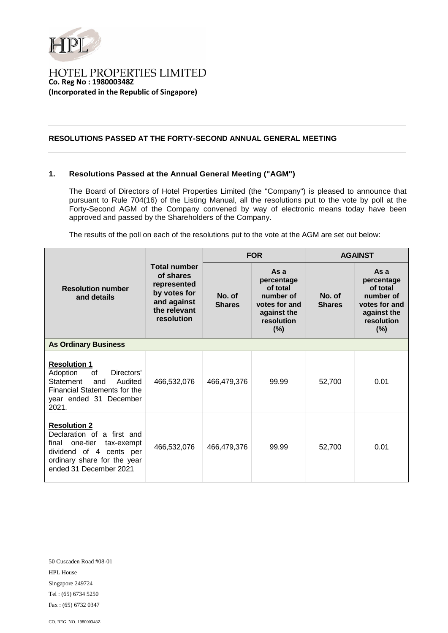

## **HOTEL PROPERTIES LIMITED Co. Reg No : 198000348Z (Incorporated in the Republic of Singapore)**

## **RESOLUTIONS PASSED AT THE FORTY-SECOND ANNUAL GENERAL MEETING**

## **1. Resolutions Passed at the Annual General Meeting ("AGM")**

The Board of Directors of Hotel Properties Limited (the "Company") is pleased to announce that pursuant to Rule 704(16) of the Listing Manual, all the resolutions put to the vote by poll at the Forty-Second AGM of the Company convened by way of electronic means today have been approved and passed by the Shareholders of the Company.

The results of the poll on each of the resolutions put to the vote at the AGM are set out below:

| <b>Resolution number</b><br>and details                                                                                                                                  | <b>Total number</b><br>of shares<br>represented<br>by votes for<br>and against<br>the relevant<br>resolution | <b>FOR</b>              |                                                                                                  | <b>AGAINST</b>          |                                                                                                  |  |  |
|--------------------------------------------------------------------------------------------------------------------------------------------------------------------------|--------------------------------------------------------------------------------------------------------------|-------------------------|--------------------------------------------------------------------------------------------------|-------------------------|--------------------------------------------------------------------------------------------------|--|--|
|                                                                                                                                                                          |                                                                                                              | No. of<br><b>Shares</b> | As a<br>percentage<br>of total<br>number of<br>votes for and<br>against the<br>resolution<br>(%) | No. of<br><b>Shares</b> | As a<br>percentage<br>of total<br>number of<br>votes for and<br>against the<br>resolution<br>(%) |  |  |
| <b>As Ordinary Business</b>                                                                                                                                              |                                                                                                              |                         |                                                                                                  |                         |                                                                                                  |  |  |
| <b>Resolution 1</b><br>Adoption<br>0f<br>Directors'<br>Statement<br>Audited<br>and<br>Financial Statements for the<br>year ended 31 December<br>2021.                    | 466,532,076                                                                                                  | 466,479,376             | 99.99                                                                                            | 52,700                  | 0.01                                                                                             |  |  |
| <b>Resolution 2</b><br>Declaration of a first and<br>one-tier<br>final<br>tax-exempt<br>dividend of 4 cents per<br>ordinary share for the year<br>ended 31 December 2021 | 466,532,076                                                                                                  | 466,479,376             | 99.99                                                                                            | 52,700                  | 0.01                                                                                             |  |  |

50 Cuscaden Road #08-01 HPL House Singapore 249724 Tel : (65) 6734 5250 Fax : (65) 6732 0347

CO. REG. NO. 198000348Z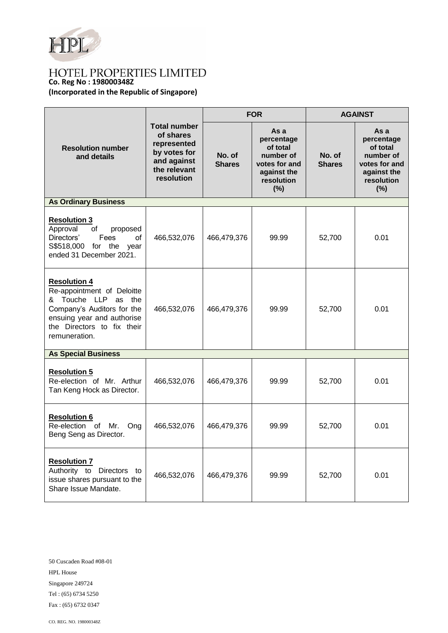

# **Co. Reg No : 198000348Z**

**(Incorporated in the Republic of Singapore)**

| <b>Resolution number</b><br>and details                                                                                                                                             | <b>Total number</b><br>of shares<br>represented<br>by votes for<br>and against<br>the relevant<br>resolution | <b>FOR</b>              |                                                                                                  | <b>AGAINST</b>          |                                                                                                  |  |  |
|-------------------------------------------------------------------------------------------------------------------------------------------------------------------------------------|--------------------------------------------------------------------------------------------------------------|-------------------------|--------------------------------------------------------------------------------------------------|-------------------------|--------------------------------------------------------------------------------------------------|--|--|
|                                                                                                                                                                                     |                                                                                                              | No. of<br><b>Shares</b> | As a<br>percentage<br>of total<br>number of<br>votes for and<br>against the<br>resolution<br>(%) | No. of<br><b>Shares</b> | As a<br>percentage<br>of total<br>number of<br>votes for and<br>against the<br>resolution<br>(%) |  |  |
| <b>As Ordinary Business</b>                                                                                                                                                         |                                                                                                              |                         |                                                                                                  |                         |                                                                                                  |  |  |
| <b>Resolution 3</b><br>Approval<br>of<br>proposed<br>Fees<br>Directors'<br>of<br>S\$518,000<br>for the year<br>ended 31 December 2021.                                              | 466,532,076                                                                                                  | 466,479,376             | 99.99                                                                                            | 52,700                  | 0.01                                                                                             |  |  |
| <b>Resolution 4</b><br>Re-appointment of Deloitte<br>& Touche LLP as the<br>Company's Auditors for the<br>ensuing year and authorise<br>the Directors to fix their<br>remuneration. | 466,532,076                                                                                                  | 466,479,376             | 99.99                                                                                            | 52,700                  | 0.01                                                                                             |  |  |
| <b>As Special Business</b>                                                                                                                                                          |                                                                                                              |                         |                                                                                                  |                         |                                                                                                  |  |  |
| <b>Resolution 5</b><br>Re-election of Mr. Arthur<br>Tan Keng Hock as Director.                                                                                                      | 466,532,076                                                                                                  | 466,479,376             | 99.99                                                                                            | 52,700                  | 0.01                                                                                             |  |  |
| <b>Resolution 6</b><br>Re-election of Mr.<br>Ong<br>Beng Seng as Director.                                                                                                          | 466,532,076                                                                                                  | 466,479,376             | 99.99                                                                                            | 52,700                  | 0.01                                                                                             |  |  |
| <b>Resolution 7</b><br>Authority to Directors to<br>issue shares pursuant to the<br>Share Issue Mandate.                                                                            | 466,532,076                                                                                                  | 466,479,376             | 99.99                                                                                            | 52,700                  | 0.01                                                                                             |  |  |

50 Cuscaden Road #08-01 HPL House Singapore 249724 Tel : (65) 6734 5250 Fax : (65) 6732 0347